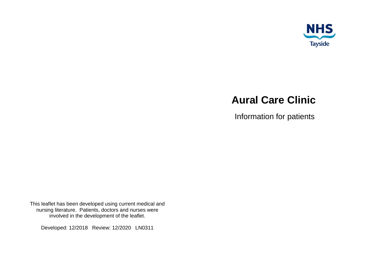

# **Aural Care Clinic**

Information for patients

This leaflet has been developed using current medical and nursing literature. Patients, doctors and nurses were involved in the development of the leaflet.

Developed: 12/2018 Review: 12/2020 LN0311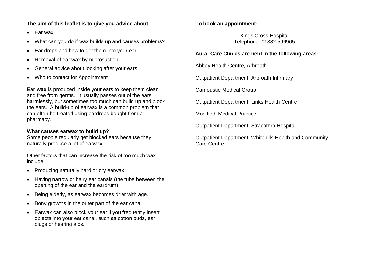### **The aim of this leaflet is to give you advice about:**

- $\bullet$  Far wax
- What can you do if wax builds up and causes problems?
- Ear drops and how to get them into your ear
- Removal of ear wax by microsuction
- General advice about looking after your ears
- Who to contact for Appointment

**Ear wax** is produced inside your ears to keep them clean and free from germs. It usually passes out of the ears harmlessly, but sometimes too much can build up and block the ears. A build-up of earwax is a common problem that can often be treated using eardrops bought from a pharmacy.

#### **What causes earwax to build up?**

Some people regularly get blocked ears because they naturally produce a lot of earwax.

Other factors that can increase the risk of too much wax include:

- Producing naturally hard or dry earwax
- Having narrow or hairy ear canals (the tube between the opening of the ear and the eardrum)
- Being elderly, as earwax becomes drier with age.
- Bony growths in the outer part of the ear canal
- Earwax can also block your ear if you frequently insert objects into your ear canal, such as cotton buds, ear plugs or hearing aids.

# **To book an appointment:**

Kings Cross Hospital Telephone: 01382 596965

#### **Aural Care Clinics are held in the following areas:**

Abbey Health Centre, Arbroath

Outpatient Department, Arbroath Infirmary

Carnoustie Medical Group

Outpatient Department, Links Health Centre

Monifieth Medical Practice

Outpatient Department, Stracathro Hospital

Outpatient Department, Whitehills Health and Community Care Centre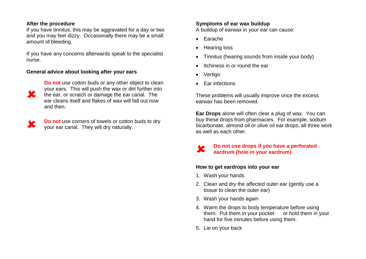#### **After the procedure**

If you have tinnitus, this may be aggravated for a day or two and you may feel dizzy. Occasionally there may be a small amount of bleeding.

If you have any concerns afterwards speak to the specialist nurse.

### **General advice about looking after your ears**



**Do not** use cotton buds or any other object to clean your ears. This will push the wax or dirt further into the ear, or scratch or damage the ear canal. The ear cleans itself and flakes of wax will fall out now and then.

**K** 

**Do not** use corners of towels or cotton buds to dry your ear canal. They will dry naturally.

# **Symptoms of ear wax buildup**

A buildup of earwax in your ear can cause:

- Farache
- Hearing loss
- Tinnitus (hearing sounds from inside your body)
- Itchiness in or round the ear
- Vertigo

×

• Ear infections

These problems will usually improve once the excess earwax has been removed.

**Ear Drops** alone will often clear a plug of wax. You can buy these drops from pharmacies. For example, sodium bicarbonate, almond oil or olive oil ear drops, all three work as well as each other.

### **Do not use drops if you have a perforated eardrum (hole in your eardrum)**

# **How to get eardrops into your ear**

- 1. Wash your hands
- 2. Clean and dry the affected outer ear (gently use a tissue to clean the outer ear)
- 3. Wash your hands again
- 4. Warm the drops to body temperature before using them. Put them in your pocket or hold them in your hand for five minutes before using them.
- 5. Lie on your back